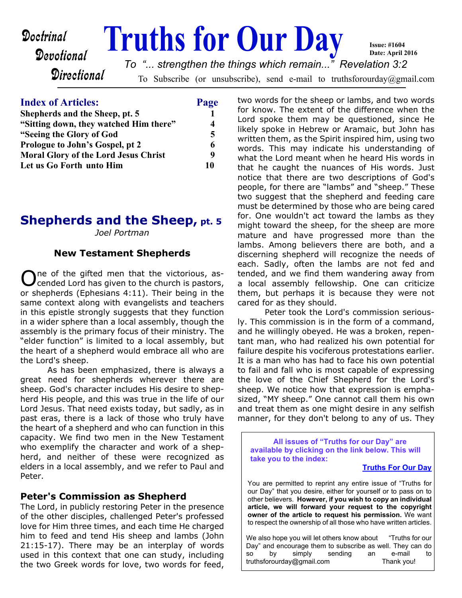#### **Doctrinal Fruths for Our Day** Devotional **Directional** To Subscribe (or unsubscribe), send e-mail to truthsforourday@gmail.com **Issue: #1604 Date: April 2016** *To "... strengthen the things which remain..." Revelation 3:2*

| <b>Index of Articles:</b>                   | Page |
|---------------------------------------------|------|
| Shepherds and the Sheep, pt. 5              |      |
| "Sitting down, they watched Him there"      |      |
| "Seeing the Glory of God                    | 5    |
| Prologue to John's Gospel, pt 2             | 6    |
| <b>Moral Glory of the Lord Jesus Christ</b> | q    |
| Let us Go Forth unto Him                    | 10   |

# **Shepherds and the Sheep, pt. 5**

*Joel Portman*

#### **New Testament Shepherds**

O ne of the gifted men that the victorious, ascended Lord has given to the church is pastors, or shepherds (Ephesians 4:11). Their being in the same context along with evangelists and teachers in this epistle strongly suggests that they function in a wider sphere than a local assembly, though the assembly is the primary focus of their ministry. The "elder function" is limited to a local assembly, but the heart of a shepherd would embrace all who are the Lord's sheep.

 As has been emphasized, there is always a great need for shepherds wherever there are sheep. God's character includes His desire to shepherd His people, and this was true in the life of our Lord Jesus. That need exists today, but sadly, as in past eras, there is a lack of those who truly have the heart of a shepherd and who can function in this capacity. We find two men in the New Testament who exemplify the character and work of a shepherd, and neither of these were recognized as elders in a local assembly, and we refer to Paul and Peter.

#### **Peter's Commission as Shepherd**

The Lord, in publicly restoring Peter in the presence of the other disciples, challenged Peter's professed love for Him three times, and each time He charged him to feed and tend His sheep and lambs (John 21:15-17). There may be an interplay of words used in this context that one can study, including the two Greek words for love, two words for feed,

two words for the sheep or lambs, and two words for know. The extent of the difference when the Lord spoke them may be questioned, since He likely spoke in Hebrew or Aramaic, but John has written them, as the Spirit inspired him, using two words. This may indicate his understanding of what the Lord meant when he heard His words in that he caught the nuances of His words. Just notice that there are two descriptions of God's people, for there are "lambs" and "sheep." These two suggest that the shepherd and feeding care must be determined by those who are being cared for. One wouldn't act toward the lambs as they might toward the sheep, for the sheep are more mature and have progressed more than the lambs. Among believers there are both, and a discerning shepherd will recognize the needs of each. Sadly, often the lambs are not fed and tended, and we find them wandering away from a local assembly fellowship. One can criticize them, but perhaps it is because they were not cared for as they should.

 Peter took the Lord's commission seriously. This commission is in the form of a command, and he willingly obeyed. He was a broken, repentant man, who had realized his own potential for failure despite his vociferous protestations earlier. It is a man who has had to face his own potential to fail and fall who is most capable of expressing the love of the Chief Shepherd for the Lord's sheep. We notice how that expression is emphasized, "MY sheep." One cannot call them his own and treat them as one might desire in any selfish manner, for they don't belong to any of us. They

**All issues of "Truths for our Day" are available by clicking on the link below. This will take you to the index:**

#### **[Truths For Our Day](http://truthsforourday.com)**

You are permitted to reprint any entire issue of "Truths for our Day" that you desire, either for yourself or to pass on to other believers. **However, if you wish to copy an individual article, we will forward your request to the copyright owner of the article to request his permission.** We want to respect the ownership of all those who have written articles.

We also hope you will let others know about "Truths for our Day" and encourage them to subscribe as well. They can do so by simply sending an e-mail to truthsforourday@gmail.com Thank you!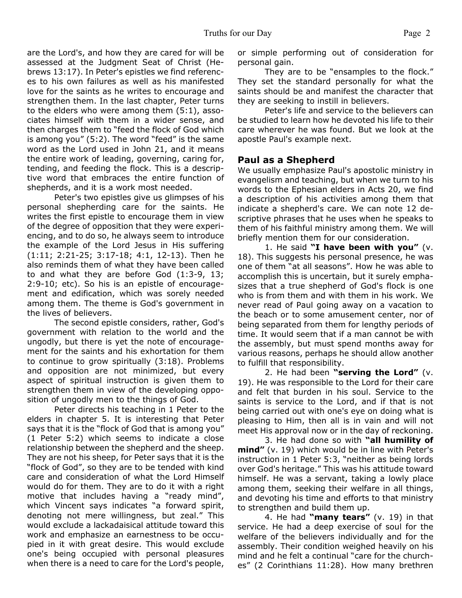are the Lord's, and how they are cared for will be assessed at the Judgment Seat of Christ (Hebrews 13:17). In Peter's epistles we find references to his own failures as well as his manifested love for the saints as he writes to encourage and strengthen them. In the last chapter, Peter turns to the elders who were among them (5:1), associates himself with them in a wider sense, and then charges them to "feed the flock of God which is among you" (5:2). The word "feed" is the same word as the Lord used in John 21, and it means the entire work of leading, governing, caring for, tending, and feeding the flock. This is a descriptive word that embraces the entire function of shepherds, and it is a work most needed.

 Peter's two epistles give us glimpses of his personal shepherding care for the saints. He writes the first epistle to encourage them in view of the degree of opposition that they were experiencing, and to do so, he always seem to introduce the example of the Lord Jesus in His suffering (1:11; 2:21-25; 3:17-18; 4:1, 12-13). Then he also reminds them of what they have been called to and what they are before God (1:3-9, 13; 2:9-10; etc). So his is an epistle of encouragement and edification, which was sorely needed among them. The theme is God's government in the lives of believers.

 The second epistle considers, rather, God's government with relation to the world and the ungodly, but there is yet the note of encouragement for the saints and his exhortation for them to continue to grow spiritually (3:18). Problems and opposition are not minimized, but every aspect of spiritual instruction is given them to strengthen them in view of the developing opposition of ungodly men to the things of God.

 Peter directs his teaching in 1 Peter to the elders in chapter 5. It is interesting that Peter says that it is the "flock of God that is among you" (1 Peter 5:2) which seems to indicate a close relationship between the shepherd and the sheep. They are not his sheep, for Peter says that it is the "flock of God", so they are to be tended with kind care and consideration of what the Lord Himself would do for them. They are to do it with a right motive that includes having a "ready mind", which Vincent says indicates "a forward spirit, denoting not mere willingness, but zeal." This would exclude a lackadaisical attitude toward this work and emphasize an earnestness to be occupied in it with great desire. This would exclude one's being occupied with personal pleasures when there is a need to care for the Lord's people,

or simple performing out of consideration for personal gain.

 They are to be "ensamples to the flock." They set the standard personally for what the saints should be and manifest the character that they are seeking to instill in believers.

 Peter's life and service to the believers can be studied to learn how he devoted his life to their care wherever he was found. But we look at the apostle Paul's example next.

#### **Paul as a Shepherd**

We usually emphasize Paul's apostolic ministry in evangelism and teaching, but when we turn to his words to the Ephesian elders in Acts 20, we find a description of his activities among them that indicate a shepherd's care. We can note 12 descriptive phrases that he uses when he speaks to them of his faithful ministry among them. We will briefly mention them for our consideration.

 1. He said **"I have been with you"** (v. 18). This suggests his personal presence, he was one of them "at all seasons". How he was able to accomplish this is uncertain, but it surely emphasizes that a true shepherd of God's flock is one who is from them and with them in his work. We never read of Paul going away on a vacation to the beach or to some amusement center, nor of being separated from them for lengthy periods of time. It would seem that if a man cannot be with the assembly, but must spend months away for various reasons, perhaps he should allow another to fulfill that responsibility.

 2. He had been **"serving the Lord"** (v. 19). He was responsible to the Lord for their care and felt that burden in his soul. Service to the saints is service to the Lord, and if that is not being carried out with one's eye on doing what is pleasing to Him, then all is in vain and will not meet His approval now or in the day of reckoning.

 3. He had done so with **"all humility of mind"** (v. 19) which would be in line with Peter's instruction in 1 Peter 5:3, "neither as being lords over God's heritage." This was his attitude toward himself. He was a servant, taking a lowly place among them, seeking their welfare in all things, and devoting his time and efforts to that ministry to strengthen and build them up.

 4. He had **"many tears"** (v. 19) in that service. He had a deep exercise of soul for the welfare of the believers individually and for the assembly. Their condition weighed heavily on his mind and he felt a continual "care for the churches" (2 Corinthians 11:28). How many brethren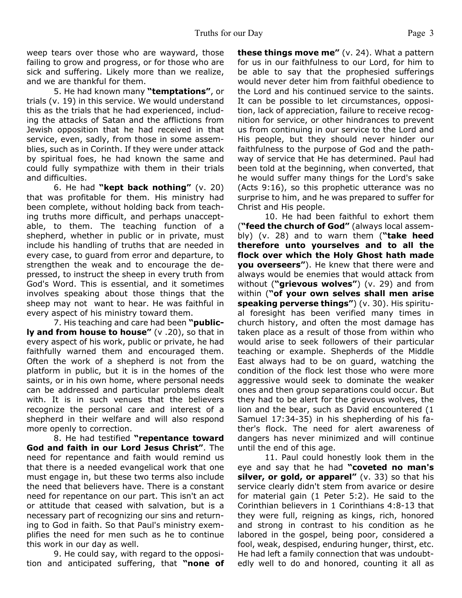weep tears over those who are wayward, those failing to grow and progress, or for those who are sick and suffering. Likely more than we realize, and we are thankful for them.

 5. He had known many **"temptations"**, or trials (v. 19) in this service. We would understand this as the trials that he had experienced, including the attacks of Satan and the afflictions from Jewish opposition that he had received in that service, even, sadly, from those in some assemblies, such as in Corinth. If they were under attack by spiritual foes, he had known the same and could fully sympathize with them in their trials and difficulties.

 6. He had **"kept back nothing"** (v. 20) that was profitable for them. His ministry had been complete, without holding back from teaching truths more difficult, and perhaps unacceptable, to them. The teaching function of a shepherd, whether in public or in private, must include his handling of truths that are needed in every case, to guard from error and departure, to strengthen the weak and to encourage the depressed, to instruct the sheep in every truth from God's Word. This is essential, and it sometimes involves speaking about those things that the sheep may not want to hear. He was faithful in every aspect of his ministry toward them.

 7. His teaching and care had been **"publicly and from house to house"** (v .20), so that in every aspect of his work, public or private, he had faithfully warned them and encouraged them. Often the work of a shepherd is not from the platform in public, but it is in the homes of the saints, or in his own home, where personal needs can be addressed and particular problems dealt with. It is in such venues that the believers recognize the personal care and interest of a shepherd in their welfare and will also respond more openly to correction.

 8. He had testified **"repentance toward God and faith in our Lord Jesus Christ"**. The need for repentance and faith would remind us that there is a needed evangelical work that one must engage in, but these two terms also include the need that believers have. There is a constant need for repentance on our part. This isn't an act or attitude that ceased with salvation, but is a necessary part of recognizing our sins and returning to God in faith. So that Paul's ministry exemplifies the need for men such as he to continue this work in our day as well.

 9. He could say, with regard to the opposition and anticipated suffering, that **"none of** **these things move me"** (v. 24). What a pattern for us in our faithfulness to our Lord, for him to be able to say that the prophesied sufferings would never deter him from faithful obedience to the Lord and his continued service to the saints. It can be possible to let circumstances, opposition, lack of appreciation, failure to receive recognition for service, or other hindrances to prevent us from continuing in our service to the Lord and His people, but they should never hinder our faithfulness to the purpose of God and the pathway of service that He has determined. Paul had been told at the beginning, when converted, that he would suffer many things for the Lord's sake (Acts 9:16), so this prophetic utterance was no surprise to him, and he was prepared to suffer for Christ and His people.

 10. He had been faithful to exhort them (**"feed the church of God"** (always local assembly) (v. 28) and to warn them (**"take heed therefore unto yourselves and to all the flock over which the Holy Ghost hath made you overseers"**). He knew that there were and always would be enemies that would attack from without (**"grievous wolves"**) (v. 29) and from within (**"of your own selves shall men arise speaking perverse things"**) (v. 30). His spiritual foresight has been verified many times in church history, and often the most damage has taken place as a result of those from within who would arise to seek followers of their particular teaching or example. Shepherds of the Middle East always had to be on guard, watching the condition of the flock lest those who were more aggressive would seek to dominate the weaker ones and then group separations could occur. But they had to be alert for the grievous wolves, the lion and the bear, such as David encountered (1 Samuel 17:34-35) in his shepherding of his father's flock. The need for alert awareness of dangers has never minimized and will continue until the end of this age.

 11. Paul could honestly look them in the eye and say that he had **"coveted no man's silver, or gold, or apparel"** (v. 33) so that his service clearly didn't stem from avarice or desire for material gain (1 Peter 5:2). He said to the Corinthian believers in 1 Corinthians 4:8-13 that they were full, reigning as kings, rich, honored and strong in contrast to his condition as he labored in the gospel, being poor, considered a fool, weak, despised, enduring hunger, thirst, etc. He had left a family connection that was undoubtedly well to do and honored, counting it all as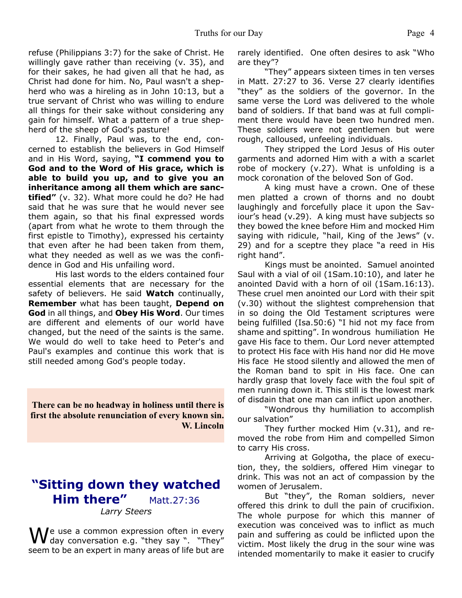refuse (Philippians 3:7) for the sake of Christ. He willingly gave rather than receiving (v. 35), and for their sakes, he had given all that he had, as Christ had done for him. No, Paul wasn't a shepherd who was a hireling as in John 10:13, but a true servant of Christ who was willing to endure all things for their sake without considering any gain for himself. What a pattern of a true shepherd of the sheep of God's pasture!

 12. Finally, Paul was, to the end, concerned to establish the believers in God Himself and in His Word, saying, **"I commend you to God and to the Word of His grace, which is able to build you up, and to give you an inheritance among all them which are sanctified"** (v. 32). What more could he do? He had said that he was sure that he would never see them again, so that his final expressed words (apart from what he wrote to them through the first epistle to Timothy), expressed his certainty that even after he had been taken from them, what they needed as well as we was the confidence in God and His unfailing word.

 His last words to the elders contained four essential elements that are necessary for the safety of believers. He said **Watch** continually, **Remember** what has been taught, **Depend on God** in all things, and **Obey His Word**. Our times are different and elements of our world have changed, but the need of the saints is the same. We would do well to take heed to Peter's and Paul's examples and continue this work that is still needed among God's people today.

**There can be no headway in holiness until there is first the absolute renunciation of every known sin. W. Lincoln**

# **"Sitting down they watched Him there"** Matt.27:36 *Larry Steers*

 $\bigvee$ e use a common expression often in every day conversation e.g. "they say ". "They" seem to be an expert in many areas of life but are rarely identified. One often desires to ask "Who are they"?

 "They" appears sixteen times in ten verses in Matt. 27:27 to 36. Verse 27 clearly identifies "they" as the soldiers of the governor. In the same verse the Lord was delivered to the whole band of soldiers. If that band was at full compliment there would have been two hundred men. These soldiers were not gentlemen but were rough, calloused, unfeeling individuals.

 They stripped the Lord Jesus of His outer garments and adorned Him with a with a scarlet robe of mockery (v.27). What is unfolding is a mock coronation of the beloved Son of God.

 A king must have a crown. One of these men platted a crown of thorns and no doubt laughingly and forcefully place it upon the Saviour's head (v.29). A king must have subjects so they bowed the knee before Him and mocked Him saying with ridicule, "hail, King of the Jews" (v. 29) and for a sceptre they place "a reed in His right hand".

 Kings must be anointed. Samuel anointed Saul with a vial of oil (1Sam.10:10), and later he anointed David with a horn of oil (1Sam.16:13). These cruel men anointed our Lord with their spit (v.30) without the slightest comprehension that in so doing the Old Testament scriptures were being fulfilled (Isa.50:6) "I hid not my face from shame and spitting". In wondrous humiliation He gave His face to them. Our Lord never attempted to protect His face with His hand nor did He move His face He stood silently and allowed the men of the Roman band to spit in His face. One can hardly grasp that lovely face with the foul spit of men running down it. This still is the lowest mark of disdain that one man can inflict upon another.

 "Wondrous thy humiliation to accomplish our salvation"

 They further mocked Him (v.31), and removed the robe from Him and compelled Simon to carry His cross.

 Arriving at Golgotha, the place of execution, they, the soldiers, offered Him vinegar to drink. This was not an act of compassion by the women of Jerusalem.

But "they", the Roman soldiers, never offered this drink to dull the pain of crucifixion. The whole purpose for which this manner of execution was conceived was to inflict as much pain and suffering as could be inflicted upon the victim. Most likely the drug in the sour wine was intended momentarily to make it easier to crucify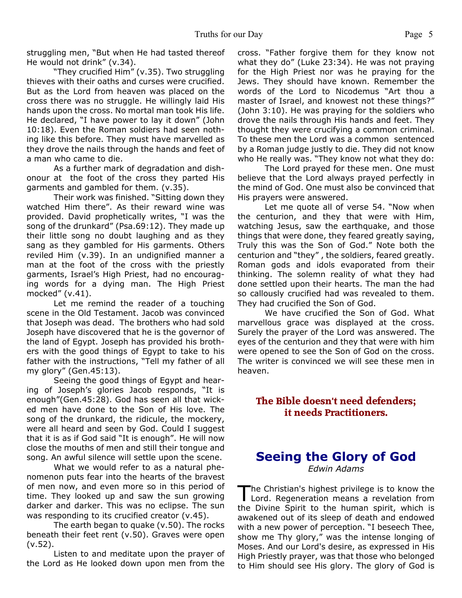struggling men, "But when He had tasted thereof He would not drink" (v.34).

 "They crucified Him" (v.35). Two struggling thieves with their oaths and curses were crucified. But as the Lord from heaven was placed on the cross there was no struggle. He willingly laid His hands upon the cross. No mortal man took His life. He declared, "I have power to lay it down" (John 10:18). Even the Roman soldiers had seen nothing like this before. They must have marvelled as they drove the nails through the hands and feet of a man who came to die.

 As a further mark of degradation and dishonour at the foot of the cross they parted His garments and gambled for them. (v.35).

 Their work was finished. "Sitting down they watched Him there". As their reward wine was provided. David prophetically writes, "I was the song of the drunkard" (Psa.69:12). They made up their little song no doubt laughing and as they sang as they gambled for His garments. Others reviled Him (v.39). In an undignified manner a man at the foot of the cross with the priestly garments, Israel's High Priest, had no encouraging words for a dying man. The High Priest mocked" (v.41).

 Let me remind the reader of a touching scene in the Old Testament. Jacob was convinced that Joseph was dead. The brothers who had sold Joseph have discovered that he is the governor of the land of Egypt. Joseph has provided his brothers with the good things of Egypt to take to his father with the instructions, "Tell my father of all my glory" (Gen.45:13).

 Seeing the good things of Egypt and hearing of Joseph's glories Jacob responds, "It is enough"(Gen.45:28). God has seen all that wicked men have done to the Son of His love. The song of the drunkard, the ridicule, the mockery, were all heard and seen by God. Could I suggest that it is as if God said "It is enough". He will now close the mouths of men and still their tongue and song. An awful silence will settle upon the scene.

 What we would refer to as a natural phenomenon puts fear into the hearts of the bravest of men now, and even more so in this period of time. They looked up and saw the sun growing darker and darker. This was no eclipse. The sun was responding to its crucified creator (v.45).

 The earth began to quake (v.50). The rocks beneath their feet rent (v.50). Graves were open (v.52).

 Listen to and meditate upon the prayer of the Lord as He looked down upon men from the cross. "Father forgive them for they know not what they do" (Luke 23:34). He was not praying for the High Priest nor was he praying for the Jews. They should have known. Remember the words of the Lord to Nicodemus "Art thou a master of Israel, and knowest not these things?" (John 3:10). He was praying for the soldiers who drove the nails through His hands and feet. They thought they were crucifying a common criminal. To these men the Lord was a common sentenced by a Roman judge justly to die. They did not know who He really was. "They know not what they do:

 The Lord prayed for these men. One must believe that the Lord always prayed perfectly in the mind of God. One must also be convinced that His prayers were answered.

 Let me quote all of verse 54. "Now when the centurion, and they that were with Him, watching Jesus, saw the earthquake, and those things that were done, they feared greatly saying, Truly this was the Son of God." Note both the centurion and "they" , the soldiers, feared greatly. Roman gods and idols evaporated from their thinking. The solemn reality of what they had done settled upon their hearts. The man the had so callously crucified had was revealed to them. They had crucified the Son of God.

We have crucified the Son of God. What marvellous grace was displayed at the cross. Surely the prayer of the Lord was answered. The eyes of the centurion and they that were with him were opened to see the Son of God on the cross. The writer is convinced we will see these men in heaven.

## **The Bible doesn't need defenders; it needs Practitioners.**

## **Seeing the Glory of God** *Edwin Adams*

The Christian's highest privilege is to know the<br>Lord. Regeneration means a revelation from he Christian's highest privilege is to know the the Divine Spirit to the human spirit, which is awakened out of its sleep of death and endowed with a new power of perception. "I beseech Thee, show me Thy glory," was the intense longing of Moses. And our Lord's desire, as expressed in His High Priestly prayer, was that those who belonged to Him should see His glory. The glory of God is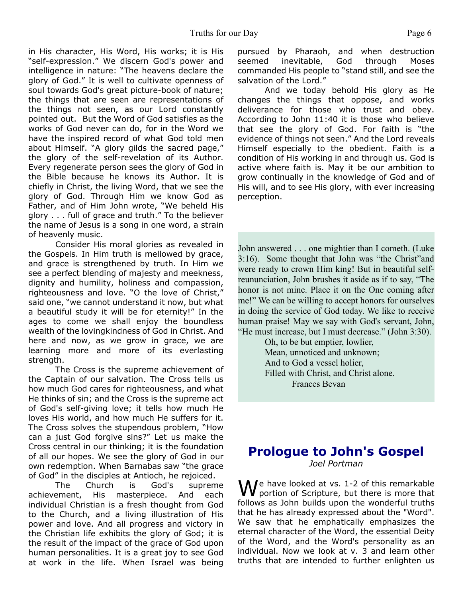in His character, His Word, His works; it is His "self-expression." We discern God's power and intelligence in nature: "The heavens declare the glory of God." It is well to cultivate openness of soul towards God's great picture-book of nature; the things that are seen are representations of the things not seen, as our Lord constantly pointed out. But the Word of God satisfies as the works of God never can do, for in the Word we have the inspired record of what God told men about Himself. "A glory gilds the sacred page," the glory of the self-revelation of its Author. Every regenerate person sees the glory of God in the Bible because he knows its Author. It is chiefly in Christ, the living Word, that we see the glory of God. Through Him we know God as Father, and of Him John wrote, "We beheld His glory . . . full of grace and truth." To the believer the name of Jesus is a song in one word, a strain of heavenly music.

 Consider His moral glories as revealed in the Gospels. In Him truth is mellowed by grace, and grace is strengthened by truth. In Him we see a perfect blending of majesty and meekness, dignity and humility, holiness and compassion, righteousness and love. "O the love of Christ," said one, "we cannot understand it now, but what a beautiful study it will be for eternity!" In the ages to come we shall enjoy the boundless wealth of the lovingkindness of God in Christ. And here and now, as we grow in grace, we are learning more and more of its everlasting strength.

 The Cross is the supreme achievement of the Captain of our salvation. The Cross tells us how much God cares for righteousness, and what He thinks of sin; and the Cross is the supreme act of God's self-giving love; it tells how much He loves His world, and how much He suffers for it. The Cross solves the stupendous problem, "How can a just God forgive sins?" Let us make the Cross central in our thinking; it is the foundation of all our hopes. We see the glory of God in our own redemption. When Barnabas saw "the grace of God" in the disciples at Antioch, he rejoiced.

 The Church is God's supreme achievement, His masterpiece. And each individual Christian is a fresh thought from God to the Church, and a living illustration of His power and love. And all progress and victory in the Christian life exhibits the glory of God; it is the result of the impact of the grace of God upon human personalities. It is a great joy to see God at work in the life. When Israel was being

pursued by Pharaoh, and when destruction seemed inevitable, God through Moses commanded His people to "stand still, and see the salvation of the Lord."

 And we today behold His glory as He changes the things that oppose, and works deliverance for those who trust and obey. According to John 11:40 it is those who believe that see the glory of God. For faith is "the evidence of things not seen." And the Lord reveals Himself especially to the obedient. Faith is a condition of His working in and through us. God is active where faith is. May it be our ambition to grow continually in the knowledge of God and of His will, and to see His glory, with ever increasing perception.

John answered . . . one mightier than I cometh. (Luke 3:16). Some thought that John was "the Christ"and were ready to crown Him king! But in beautiful selfreununciation, John brushes it aside as if to say, "The honor is not mine. Place it on the One coming after me!" We can be willing to accept honors for ourselves in doing the service of God today. We like to receive human praise! May we say with God's servant, John, "He must increase, but I must decrease." (John 3:30).

> Oh, to be but emptier, lowlier, Mean, unnoticed and unknown; And to God a vessel holier, Filled with Christ, and Christ alone. Frances Bevan

## **Prologue to John's Gospel** *Joel Portman*

 $M$ e have looked at vs. 1-2 of this remarkable portion of Scripture, but there is more that follows as John builds upon the wonderful truths that he has already expressed about the "Word". We saw that he emphatically emphasizes the eternal character of the Word, the essential Deity of the Word, and the Word's personality as an individual. Now we look at v. 3 and learn other truths that are intended to further enlighten us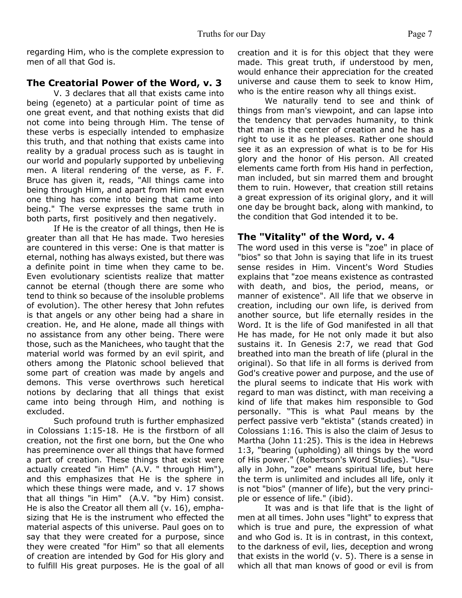regarding Him, who is the complete expression to men of all that God is.

#### **The Creatorial Power of the Word, v. 3**

 V. 3 declares that all that exists came into being (egeneto) at a particular point of time as one great event, and that nothing exists that did not come into being through Him. The tense of these verbs is especially intended to emphasize this truth, and that nothing that exists came into reality by a gradual process such as is taught in our world and popularly supported by unbelieving men. A literal rendering of the verse, as F. F. Bruce has given it, reads, "All things came into being through Him, and apart from Him not even one thing has come into being that came into being." The verse expresses the same truth in both parts, first positively and then negatively.

 If He is the creator of all things, then He is greater than all that He has made. Two heresies are countered in this verse: One is that matter is eternal, nothing has always existed, but there was a definite point in time when they came to be. Even evolutionary scientists realize that matter cannot be eternal (though there are some who tend to think so because of the insoluble problems of evolution). The other heresy that John refutes is that angels or any other being had a share in creation. He, and He alone, made all things with no assistance from any other being. There were those, such as the Manichees, who taught that the material world was formed by an evil spirit, and others among the Platonic school believed that some part of creation was made by angels and demons. This verse overthrows such heretical notions by declaring that all things that exist came into being through Him, and nothing is excluded.

 Such profound truth is further emphasized in Colossians 1:15-18. He is the firstborn of all creation, not the first one born, but the One who has preeminence over all things that have formed a part of creation. These things that exist were actually created "in Him" (A.V. " through Him"), and this emphasizes that He is the sphere in which these things were made, and v. 17 shows that all things "in Him" (A.V. "by Him) consist. He is also the Creator all them all (v. 16), emphasizing that He is the instrument who effected the material aspects of this universe. Paul goes on to say that they were created for a purpose, since they were created "for Him" so that all elements of creation are intended by God for His glory and to fulfill His great purposes. He is the goal of all creation and it is for this object that they were made. This great truth, if understood by men, would enhance their appreciation for the created universe and cause them to seek to know Him, who is the entire reason why all things exist.

 We naturally tend to see and think of things from man's viewpoint, and can lapse into the tendency that pervades humanity, to think that man is the center of creation and he has a right to use it as he pleases. Rather one should see it as an expression of what is to be for His glory and the honor of His person. All created elements came forth from His hand in perfection, man included, but sin marred them and brought them to ruin. However, that creation still retains a great expression of its original glory, and it will one day be brought back, along with mankind, to the condition that God intended it to be.

#### **The "Vitality" of the Word, v. 4**

The word used in this verse is "zoe" in place of "bios" so that John is saying that life in its truest sense resides in Him. Vincent's Word Studies explains that "zoe means existence as contrasted with death, and bios, the period, means, or manner of existence". All life that we observe in creation, including our own life, is derived from another source, but life eternally resides in the Word. It is the life of God manifested in all that He has made, for He not only made it but also sustains it. In Genesis 2:7, we read that God breathed into man the breath of life (plural in the original). So that life in all forms is derived from God's creative power and purpose, and the use of the plural seems to indicate that His work with regard to man was distinct, with man receiving a kind of life that makes him responsible to God personally. "This is what Paul means by the perfect passive verb "ektista" (stands created) in Colossians 1:16. This is also the claim of Jesus to Martha (John 11:25). This is the idea in Hebrews 1:3, "bearing (upholding) all things by the word of His power." (Robertson's Word Studies). "Usually in John, "zoe" means spiritual life, but here the term is unlimited and includes all life, only it is not "bios" (manner of life), but the very principle or essence of life." (ibid).

 It was and is that life that is the light of men at all times. John uses "light" to express that which is true and pure, the expression of what and who God is. It is in contrast, in this context, to the darkness of evil, lies, deception and wrong that exists in the world (v. 5). There is a sense in which all that man knows of good or evil is from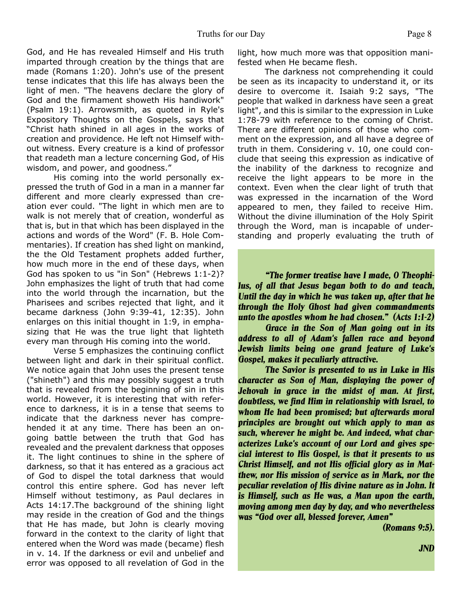God, and He has revealed Himself and His truth imparted through creation by the things that are made (Romans 1:20). John's use of the present tense indicates that this life has always been the light of men. "The heavens declare the glory of God and the firmament showeth His handiwork" (Psalm 19:1). Arrowsmith, as quoted in Ryle's Expository Thoughts on the Gospels, says that "Christ hath shined in all ages in the works of creation and providence. He left not Himself without witness. Every creature is a kind of professor that readeth man a lecture concerning God, of His wisdom, and power, and goodness."

 His coming into the world personally expressed the truth of God in a man in a manner far different and more clearly expressed than creation ever could. "The light in which men are to walk is not merely that of creation, wonderful as that is, but in that which has been displayed in the actions and words of the Word" (F. B. Hole Commentaries). If creation has shed light on mankind, the the Old Testament prophets added further, how much more in the end of these days, when God has spoken to us "in Son" (Hebrews 1:1-2)? John emphasizes the light of truth that had come into the world through the incarnation, but the Pharisees and scribes rejected that light, and it became darkness (John 9:39-41, 12:35). John enlarges on this initial thought in 1:9, in emphasizing that He was the true light that lighteth every man through His coming into the world.

 Verse 5 emphasizes the continuing conflict between light and dark in their spiritual conflict. We notice again that John uses the present tense ("shineth") and this may possibly suggest a truth that is revealed from the beginning of sin in this world. However, it is interesting that with reference to darkness, it is in a tense that seems to indicate that the darkness never has comprehended it at any time. There has been an ongoing battle between the truth that God has revealed and the prevalent darkness that opposes it. The light continues to shine in the sphere of darkness, so that it has entered as a gracious act of God to dispel the total darkness that would control this entire sphere. God has never left Himself without testimony, as Paul declares in Acts 14:17.The background of the shining light may reside in the creation of God and the things that He has made, but John is clearly moving forward in the context to the clarity of light that entered when the Word was made (became) flesh in v. 14. If the darkness or evil and unbelief and error was opposed to all revelation of God in the light, how much more was that opposition manifested when He became flesh.

 The darkness not comprehending it could be seen as its incapacity to understand it, or its desire to overcome it. Isaiah 9:2 says, "The people that walked in darkness have seen a great light", and this is similar to the expression in Luke 1:78-79 with reference to the coming of Christ. There are different opinions of those who comment on the expression, and all have a degree of truth in them. Considering v. 10, one could conclude that seeing this expression as indicative of the inability of the darkness to recognize and receive the light appears to be more in the context. Even when the clear light of truth that was expressed in the incarnation of the Word appeared to men, they failed to receive Him. Without the divine illumination of the Holy Spirit through the Word, man is incapable of understanding and properly evaluating the truth of

*"The former treatise have I made, O Theophilus, of all that Jesus began both to do and teach, Until the day in which he was taken up, after that he through the Holy Ghost had given commandments unto the apostles whom he had chosen." (Acts 1:1-2)*

*Grace in the Son of Man going out in its address to all of Adam's fallen race and beyond Jewish limits being one grand feature of Luke's Gospel, makes it peculiarly attractive.*

 *The Savior is presented to us in Luke in His character as Son of Man, displaying the power of Jehovah in grace in the midst of man. At first, doubtless, we find Him in relationship with Israel, to whom He had been promised; but afterwards moral principles are brought out which apply to man as such, wherever he might be. And indeed, what characterizes Luke's account of our Lord and gives special interest to His Gospel, is that it presents to us Christ Himself, and not His official glory as in Matthew, nor His mission of service as in Mark, nor the peculiar revelation of His divine nature as in John. It is Himself, such as He was, a Man upon the earth, moving among men day by day, and who nevertheless was "God over all, blessed forever, Amen"*

*(Romans 9:5).*

 *JND*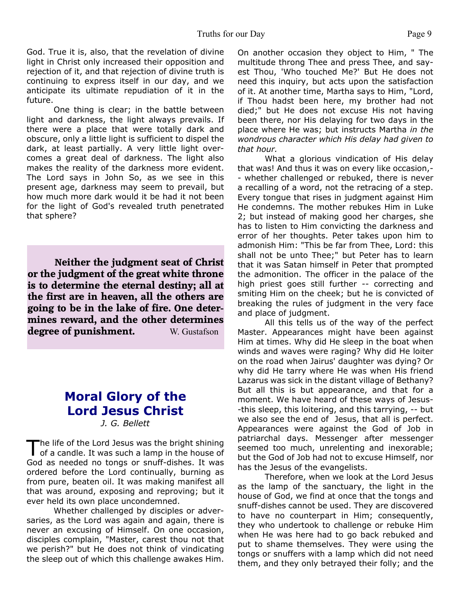God. True it is, also, that the revelation of divine light in Christ only increased their opposition and rejection of it, and that rejection of divine truth is continuing to express itself in our day, and we anticipate its ultimate repudiation of it in the future.

 One thing is clear; in the battle between light and darkness, the light always prevails. If there were a place that were totally dark and obscure, only a little light is sufficient to dispel the dark, at least partially. A very little light overcomes a great deal of darkness. The light also makes the reality of the darkness more evident. The Lord says in John So, as we see in this present age, darkness may seem to prevail, but how much more dark would it be had it not been for the light of God's revealed truth penetrated that sphere?

**Neither the judgment seat of Christ or the judgment of the great white throne is to determine the eternal destiny; all at the first are in heaven, all the others are going to be in the lake of fire. One determines reward, and the other determines degree of punishment.** W. Gustafson

# **Moral Glory of the Lord Jesus Christ**

*J. G. Bellett*

The life of the Lord Jesus was the bright shining<br>of a candle. It was such a lamp in the house of he life of the Lord Jesus was the bright shining God as needed no tongs or snuff-dishes. It was ordered before the Lord continually, burning as from pure, beaten oil. It was making manifest all that was around, exposing and reproving; but it ever held its own place uncondemned.

 Whether challenged by disciples or adversaries, as the Lord was again and again, there is never an excusing of Himself. On one occasion, disciples complain, "Master, carest thou not that we perish?" but He does not think of vindicating the sleep out of which this challenge awakes Him.

On another occasion they object to Him, " The multitude throng Thee and press Thee, and sayest Thou, 'Who touched Me?' But He does not need this inquiry, but acts upon the satisfaction of it. At another time, Martha says to Him, "Lord, if Thou hadst been here, my brother had not died;" but He does not excuse His not having been there, nor His delaying for two days in the place where He was; but instructs Martha *in the wondrous character which His delay had given to that hour.*

 What a glorious vindication of His delay that was! And thus it was on every like occasion,- - whether challenged or rebuked, there is never a recalling of a word, not the retracing of a step. Every tongue that rises in judgment against Him He condemns. The mother rebukes Him in Luke 2; but instead of making good her charges, she has to listen to Him convicting the darkness and error of her thoughts. Peter takes upon him to admonish Him: "This be far from Thee, Lord: this shall not be unto Thee;" but Peter has to learn that it was Satan himself in Peter that prompted the admonition. The officer in the palace of the high priest goes still further -- correcting and smiting Him on the cheek; but he is convicted of breaking the rules of judgment in the very face and place of judgment.

 All this tells us of the way of the perfect Master. Appearances might have been against Him at times. Why did He sleep in the boat when winds and waves were raging? Why did He loiter on the road when Jairus' daughter was dying? Or why did He tarry where He was when His friend Lazarus was sick in the distant village of Bethany? But all this is but appearance, and that for a moment. We have heard of these ways of Jesus- -this sleep, this loitering, and this tarrying, -- but we also see the end of Jesus, that all is perfect. Appearances were against the God of Job in patriarchal days. Messenger after messenger seemed too much, unrelenting and inexorable; but the God of Job had not to excuse Himself, nor has the Jesus of the evangelists.

 Therefore, when we look at the Lord Jesus as the lamp of the sanctuary, the light in the house of God, we find at once that the tongs and snuff-dishes cannot be used. They are discovered to have no counterpart in Him; consequently, they who undertook to challenge or rebuke Him when He was here had to go back rebuked and put to shame themselves. They were using the tongs or snuffers with a lamp which did not need them, and they only betrayed their folly; and the